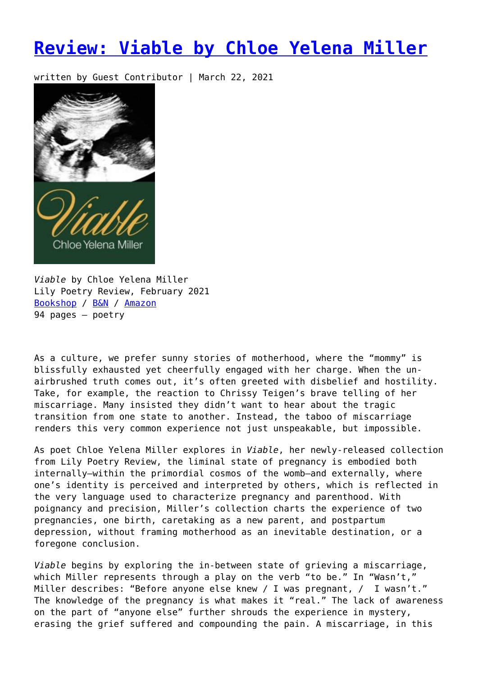## **[Review: Viable by Chloe Yelena Miller](https://entropymag.org/viable-chloe-yelena-miller/)**

written by Guest Contributor | March 22, 2021



*Viable* by Chloe Yelena Miller Lily Poetry Review, February 2021 [Bookshop](https://bookshop.org/books/viable-9781734786927/9781734786927?aid=3601) / [B&N](https://www.barnesandnoble.com/w/viable-chloe-yelena-miller/1137868559) / [Amazon](https://amzn.to/3saFM8v) 94 pages – poetry

As a culture, we prefer sunny stories of motherhood, where the "mommy" is blissfully exhausted yet cheerfully engaged with her charge. When the unairbrushed truth comes out, it's often greeted with disbelief and hostility. Take, for example, the reaction to Chrissy Teigen's brave telling of her miscarriage. Many insisted they didn't want to hear about the tragic transition from one state to another. Instead, the taboo of miscarriage renders this very common experience not just unspeakable, but impossible.

As poet Chloe Yelena Miller explores in *Viable*, her newly-released collection from Lily Poetry Review, the liminal state of pregnancy is embodied both internally—within the primordial cosmos of the womb—and externally, where one's identity is perceived and interpreted by others, which is reflected in the very language used to characterize pregnancy and parenthood. With poignancy and precision, Miller's collection charts the experience of two pregnancies, one birth, caretaking as a new parent, and postpartum depression, without framing motherhood as an inevitable destination, or a foregone conclusion.

*Viable* begins by exploring the in-between state of grieving a miscarriage, which Miller represents through a play on the verb "to be." In "Wasn't," Miller describes: "Before anyone else knew / I was pregnant, / I wasn't." The knowledge of the pregnancy is what makes it "real." The lack of awareness on the part of "anyone else" further shrouds the experience in mystery, erasing the grief suffered and compounding the pain. A miscarriage, in this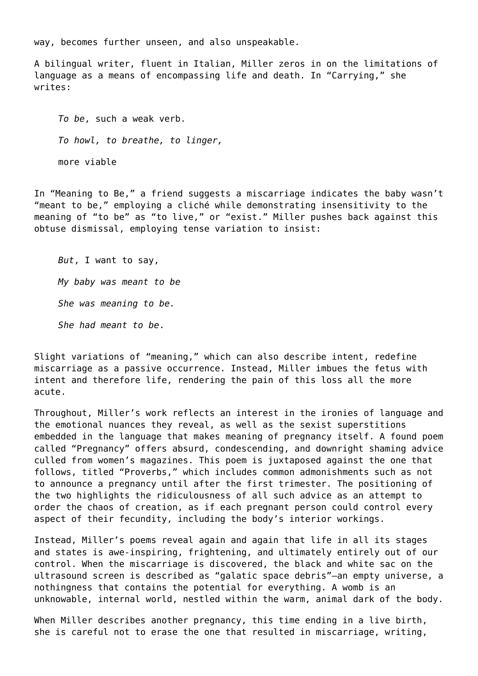way, becomes further unseen, and also unspeakable.

A bilingual writer, fluent in Italian, Miller zeros in on the limitations of language as a means of encompassing life and death. In "Carrying," she writes:

*To be*, such a weak verb. *To howl, to breathe, to linger,* more viable

In "Meaning to Be," a friend suggests a miscarriage indicates the baby wasn't "meant to be," employing a cliché while demonstrating insensitivity to the meaning of "to be" as "to live," or "exist." Miller pushes back against this obtuse dismissal, employing tense variation to insist:

*But*, I want to say, *My baby was meant to be She was meaning to be. She had meant to be*.

Slight variations of "meaning," which can also describe intent, redefine miscarriage as a passive occurrence. Instead, Miller imbues the fetus with intent and therefore life, rendering the pain of this loss all the more acute.

Throughout, Miller's work reflects an interest in the ironies of language and the emotional nuances they reveal, as well as the sexist superstitions embedded in the language that makes meaning of pregnancy itself. A found poem called "Pregnancy" offers absurd, condescending, and downright shaming advice culled from women's magazines. This poem is juxtaposed against the one that follows, titled "Proverbs," which includes common admonishments such as not to announce a pregnancy until after the first trimester. The positioning of the two highlights the ridiculousness of all such advice as an attempt to order the chaos of creation, as if each pregnant person could control every aspect of their fecundity, including the body's interior workings.

Instead, Miller's poems reveal again and again that life in all its stages and states is awe-inspiring, frightening, and ultimately entirely out of our control. When the miscarriage is discovered, the black and white sac on the ultrasound screen is described as "galatic space debris"—an empty universe, a nothingness that contains the potential for everything. A womb is an unknowable, internal world, nestled within the warm, animal dark of the body.

When Miller describes another pregnancy, this time ending in a live birth, she is careful not to erase the one that resulted in miscarriage, writing,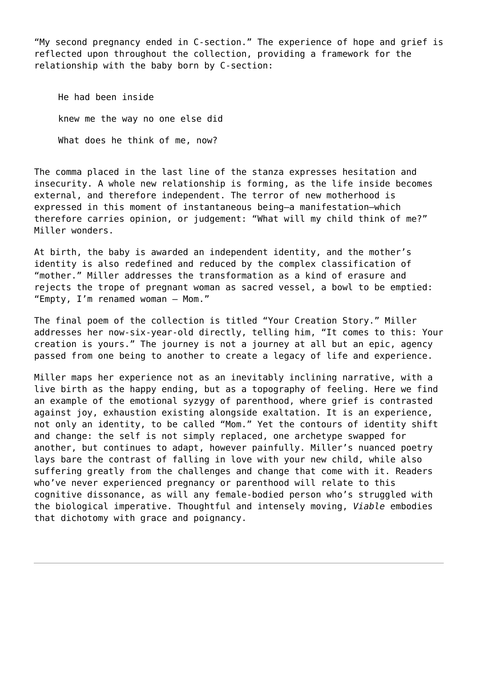"My second pregnancy ended in C-section." The experience of hope and grief is reflected upon throughout the collection, providing a framework for the relationship with the baby born by C-section:

He had been inside knew me the way no one else did What does he think of me, now?

The comma placed in the last line of the stanza expresses hesitation and insecurity. A whole new relationship is forming, as the life inside becomes external, and therefore independent. The terror of new motherhood is expressed in this moment of instantaneous being—a manifestation—which therefore carries opinion, or judgement: "What will my child think of me?" Miller wonders.

At birth, the baby is awarded an independent identity, and the mother's identity is also redefined and reduced by the complex classification of "mother." Miller addresses the transformation as a kind of erasure and rejects the trope of pregnant woman as sacred vessel, a bowl to be emptied: "Empty, I'm renamed woman – Mom."

The final poem of the collection is titled "Your Creation Story." Miller addresses her now-six-year-old directly, telling him, "It comes to this: Your creation is yours." The journey is not a journey at all but an epic, agency passed from one being to another to create a legacy of life and experience.

Miller maps her experience not as an inevitably inclining narrative, with a live birth as the happy ending, but as a topography of feeling. Here we find an example of the emotional syzygy of parenthood, where grief is contrasted against joy, exhaustion existing alongside exaltation. It is an experience, not only an identity, to be called "Mom." Yet the contours of identity shift and change: the self is not simply replaced, one archetype swapped for another, but continues to adapt, however painfully. Miller's nuanced poetry lays bare the contrast of falling in love with your new child, while also suffering greatly from the challenges and change that come with it. Readers who've never experienced pregnancy or parenthood will relate to this cognitive dissonance, as will any female-bodied person who's struggled with the biological imperative. Thoughtful and intensely moving, *Viable* embodies that dichotomy with grace and poignancy.